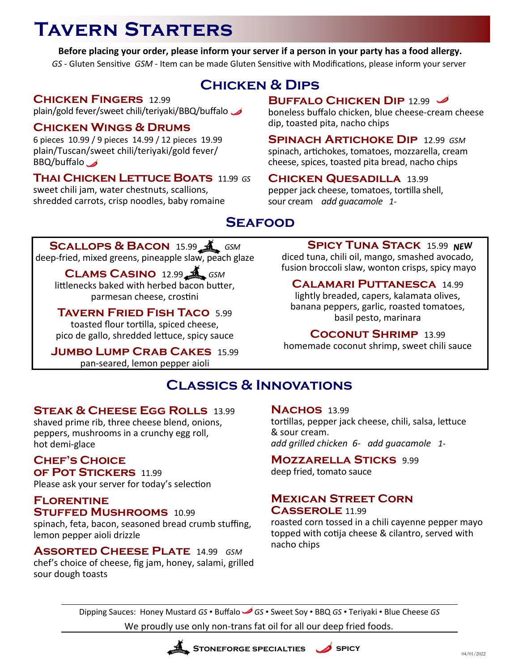# **Tavern Starters**

**Before placing your order, please inform your server if a person in your party has a food allergy.** *GS -* Gluten Sensitive *GSM -* Item can be made Gluten Sensitive with Modifications, please inform your server

## **Chicken & Dips**

### **Chicken Fingers** 12.99

plain/gold fever/sweet chili/teriyaki/BBQ/buffalo

### **Chicken Wings & Drums**

6 pieces 10.99 / 9 pieces 14.99 / 12 pieces 19.99 plain/Tuscan/sweet chili/teriyaki/gold fever/ BBQ/buffalo

## **Thai Chicken Lettuce Boats** 11.99 *GS*

sweet chili jam, water chestnuts, scallions, shredded carrots, crisp noodles, baby romaine

## **BUFFALO CHICKEN DIP** 12.99

boneless buffalo chicken, blue cheese-cream cheese dip, toasted pita, nacho chips

**Spinach Artichoke Dip** 12.99 *GSM* spinach, artichokes, tomatoes, mozzarella, cream cheese, spices, toasted pita bread, nacho chips

#### **Chicken Quesadilla** 13.99 pepper jack cheese, tomatoes, tortilla shell, sour cream *add guacamole 1-*

# **Seafood**

#### **SCALLOPS & BACON** 15.99 **A** GSM deep-fried, mixed greens, pineapple slaw, peach glaze

**Clams Casino** 12.99 *GSM* littlenecks baked with herbed bacon butter, parmesan cheese, crostini

## **Tavern Fried Fish Taco** 5.99

toasted flour tortilla, spiced cheese, pico de gallo, shredded lettuce, spicy sauce

#### **Jumbo Lump Crab Cakes** 15.99 pan-seared, lemon pepper aioli

## **SPICY TUNA STACK** 15.99 NEW

diced tuna, chili oil, mango, smashed avocado, fusion broccoli slaw, wonton crisps, spicy mayo

#### **Calamari Puttanesca** 14.99 lightly breaded, capers, kalamata olives,

banana peppers, garlic, roasted tomatoes, basil pesto, marinara

### **Coconut Shrimp** 13.99

homemade coconut shrimp, sweet chili sauce

# **Classics & Innovations**

## **Steak & Cheese Egg Rolls** 13.99

shaved prime rib, three cheese blend, onions, peppers, mushrooms in a crunchy egg roll, hot demi-glace

# **Chef's Choice**

**of Pot Stickers** 11.99 Please ask your server for today's selection

#### **Florentine Stuffed Mushrooms** 10.99

spinach, feta, bacon, seasoned bread crumb stuffing, lemon pepper aioli drizzle

**Assorted Cheese Plate** 14.99 *GSM* chef's choice of cheese, fig jam, honey, salami, grilled sour dough toasts

#### **NACHOS** 13.99

tortillas, pepper jack cheese, chili, salsa, lettuce & sour cream. *add grilled chicken 6- add guacamole 1-*

## **Mozzarella Sticks** 9.99

deep fried, tomato sauce

#### **Mexican Street Corn Casserole** 11.99

roasted corn tossed in a chili cayenne pepper mayo topped with cotija cheese & cilantro, served with nacho chips

Dipping Sauces: Honey Mustard *GS* • Buffalo *GS* • Sweet Soy • BBQ *GS* • Teriyaki • Blue Cheese *GS* We proudly use only non-trans fat oil for all our deep fried foods.

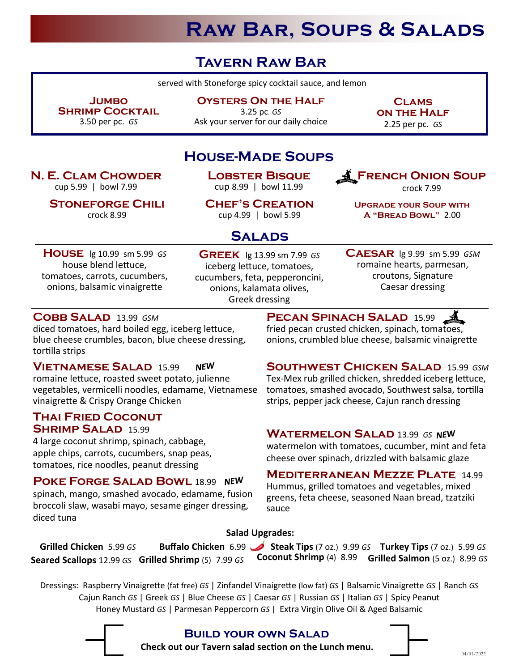# **Raw Bar, Soups & Salads**

# **Tavern Raw Bar**

served with Stoneforge spicy cocktail sauce, and lemon

**Jumbo Shrimp Cocktail**  3.50 per pc. *GS*

**N. E. Clam Chowder**  cup 5.99 | bowl 7.99

> **Stoneforge Chili**  crock 8.99

**Oysters On the Half** 

3.25 pc. *GS* Ask your server for our daily choice

**Clams on the Half** 2.25 per pc. *GS*

**French Onion Soup** crock 7.99

**Upgrade your Soup with A "Bread Bowl"** 2.00

## **House-Made Soups**

**Lobster Bisque**  cup 8.99 | bowl 11.99

**Chef's Creation** cup 4.99 | bowl 5.99

## **Salads**

**House** lg 10.99 sm 5.99 *GS* house blend lettuce, tomatoes, carrots, cucumbers, onions, balsamic vinaigrette

**Greek** lg 13.99 sm 7.99 *GS* iceberg lettuce, tomatoes, cucumbers, feta, pepperoncini, onions, kalamata olives, Greek dressing

**Caesar** lg 9.99 sm 5.99 *GSM* romaine hearts, parmesan, croutons, Signature Caesar dressing

#### **Cobb Salad** 13.99 *GSM*

diced tomatoes, hard boiled egg, iceberg lettuce, blue cheese crumbles, bacon, blue cheese dressing, tortilla strips

#### **Vietnamese Salad** 15.99 **NEW**

romaine lettuce, roasted sweet potato, julienne vegetables, vermicelli noodles, edamame, Vietnamese vinaigrette & Crispy Orange Chicken

#### **Thai Fried Coconut Shrimp Salad** 15.99

4 large coconut shrimp, spinach, cabbage, apple chips, carrots, cucumbers, snap peas, tomatoes, rice noodles, peanut dressing

**POKE FORGE SALAD BOWL 18.99 NEW** spinach, mango, smashed avocado, edamame, fusion broccoli slaw, wasabi mayo, sesame ginger dressing, diced tuna

**Pecan Spinach Salad** 15.99 fried pecan crusted chicken, spinach, tomatoes, onions, crumbled blue cheese, balsamic vinaigrette

#### **Southwest Chicken Salad** 15.99 *GSM* Tex-Mex rub grilled chicken, shredded iceberg lettuce, tomatoes, smashed avocado, Southwest salsa, tortilla strips, pepper jack cheese, Cajun ranch dressing

## **WATERMELON SALAD 13.99 GS NEW**

watermelon with tomatoes, cucumber, mint and feta cheese over spinach, drizzled with balsamic glaze

#### **Mediterranean Mezze Plate** 14.99 Hummus, grilled tomatoes and vegetables, mixed greens, feta cheese, seasoned Naan bread, tzatziki sauce

#### **Salad Upgrades:**

**Grilled Chicken** 5.99 *GS* **Buffalo Chicken** 6.99 **Steak Tips** (7 oz.)9.99 *GS* **Turkey Tips** (7 oz.)5.99 *GS* **Seared Scallops** 12.99 *GS* **Grilled Shrimp** (5)7.99 *GS* **Coconut Shrimp** (4)8.99 **Grilled Salmon** (5 oz.) 8.99 *GS*

Dressings: Raspberry Vinaigrette (fat free) *GS* | Zinfandel Vinaigrette (low fat) *GS* | Balsamic Vinaigrette *GS* | Ranch *GS* Cajun Ranch *GS* | Greek *GS* | Blue Cheese *GS* | Caesar *GS* | Russian *GS* | Italian *GS* | Spicy Peanut Honey Mustard *GS* | Parmesan Peppercorn *GS* | Extra Virgin Olive Oil & Aged Balsamic



### **Build your own Salad**

**Check out our Tavern salad section on the Lunch menu.**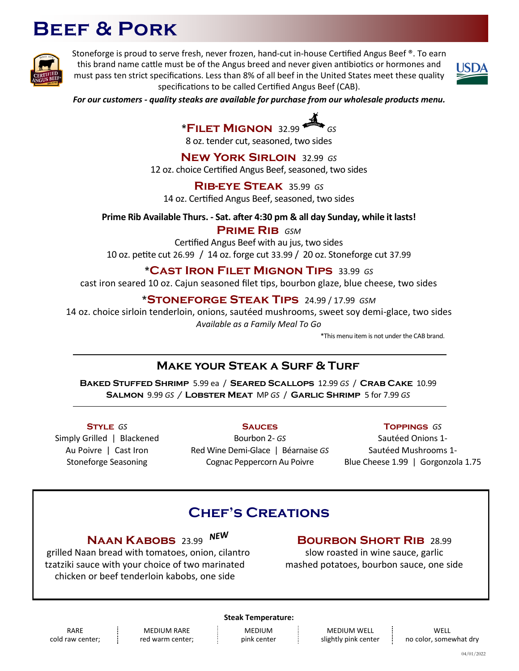# **Beef & Pork**



Stoneforge is proud to serve fresh, never frozen, hand-cut in-house Certified Angus Beef ®. To earn this brand name cattle must be of the Angus breed and never given antibiotics or hormones and must pass ten strict specifications. Less than 8% of all beef in the United States meet these quality specifications to be called Certified Angus Beef (CAB).



*For our customers - quality steaks are available for purchase from our wholesale products menu.*

**\*Filet Mignon** 32.99 *GS* 8 oz. tender cut, seasoned, two sides

**New York Sirloin** 32.99 *GS* 12 oz. choice Certified Angus Beef, seasoned, two sides

**Rib-eye Steak** 35.99 *GS* 14 oz. Certified Angus Beef, seasoned, two sides

**Prime Rib Available Thurs. - Sat. after 4:30 pm & all day Sunday, while it lasts!**

**Prime Rib** *GSM*

Certified Angus Beef with au jus, two sides 10 oz. petite cut 26.99/ 14 oz. forge cut 33.99 / 20 oz. Stoneforge cut 37.99

#### **\*Cast Iron Filet Mignon Tips** 33.99 *GS*

cast iron seared 10 oz. Cajun seasoned filet tips, bourbon glaze, blue cheese, two sides

#### **\*Stoneforge Steak Tips** 24.99 / 17.99 *GSM*

14 oz. choice sirloin tenderloin, onions, sautéed mushrooms, sweet soy demi-glace, two sides *Available as a Family Meal To Go* 

\*This menu item is not under the CAB brand.

## **Make your Steak a Surf & Turf**

**Baked Stuffed Shrimp** 5.99 ea / **Seared Scallops** 12.99 *GS* / **Crab Cake** 10.99 **Salmon** 9.99 *GS /* **Lobster Meat** MP *GS* / **Garlic Shrimp** 5 for 7.99 *GS*

**Style** *GS* Simply Grilled | Blackened Au Poivre | Cast Iron Stoneforge Seasoning

**Sauces** Bourbon 2- *GS* Red Wine Demi-Glace | Béarnaise *GS* Cognac Peppercorn Au Poivre

**Toppings** *GS*

Sautéed Onions 1- Sautéed Mushrooms 1- Blue Cheese 1.99 | Gorgonzola 1.75

## **Chef's Creations**

**Naan Kabobs** 23.99

 grilled Naan bread with tomatoes, onion, cilantro tzatziki sauce with your choice of two marinated chicken or beef tenderloin kabobs, one side

### **Bourbon Short Rib** 28.99

slow roasted in wine sauce, garlic mashed potatoes, bourbon sauce, one side

RARE cold raw center;

MEDIUM RARE red warm center;

#### **Steak Temperature:**

MEDIUM pink center

MEDIUM WELL slightly pink center

**WELL** no color, somewhat dry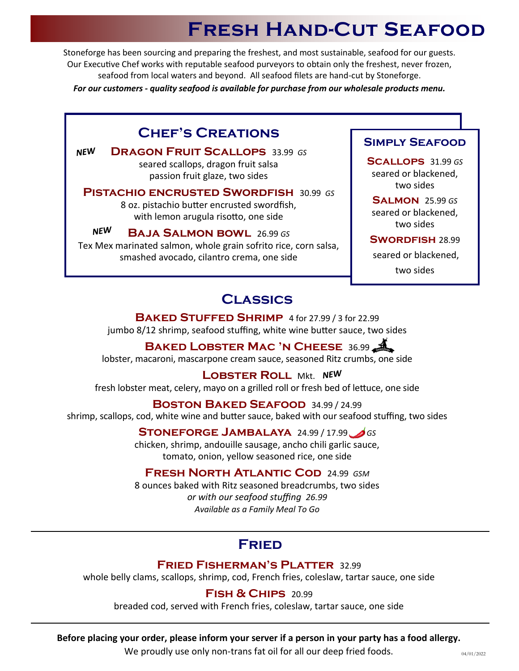# **Fresh Hand-Cut Seafood**

Stoneforge has been sourcing and preparing the freshest, and most sustainable, seafood for our guests. Our Executive Chef works with reputable seafood purveyors to obtain only the freshest, never frozen, seafood from local waters and beyond. All seafood filets are hand-cut by Stoneforge.

*For our customers - quality seafood is available for purchase from our wholesale products menu.*

## **Chef's Creations**

**NEW Dragon Fruit Scallops** 33.99 *GS* seared scallops, dragon fruit salsa passion fruit glaze, two sides

**Pistachio encrusted Swordfish** 30.99 *GS* 8 oz. pistachio butter encrusted swordfish, with lemon arugula risotto, one side

**NEW Baja Salmon bowl** 26.99 *GS* Tex Mex marinated salmon, whole grain sofrito rice, corn salsa, smashed avocado, cilantro crema, one side

### **Simply Seafood**

**Scallops** 31.99 *GS* seared or blackened, two sides

**Salmon** 25.99 *GS* seared or blackened, two sides

#### **Swordfish** 28.99

seared or blackened,

two sides

## **Classics**

**Baked Stuffed Shrimp** 4 for 27.99 / 3 for 22.99 jumbo 8/12 shrimp, seafood stuffing, white wine butter sauce, two sides

**Baked Lobster Mac 'n Cheese** 36.99

lobster, macaroni, mascarpone cream sauce, seasoned Ritz crumbs, one side

**LOBSTER ROLL Mkt. NEW** fresh lobster meat, celery, mayo on a grilled roll or fresh bed of lettuce, one side

#### **Boston Baked Seafood** 34.99 / 24.99

shrimp, scallops, cod, white wine and butter sauce, baked with our seafood stuffing, two sides

**Stoneforge Jambalaya** 24.99 / 17.99 *GS*

chicken, shrimp, andouille sausage, ancho chili garlic sauce, tomato, onion, yellow seasoned rice, one side

### **Fresh North Atlantic Cod** 24.99 *GSM*

8 ounces baked with Ritz seasoned breadcrumbs, two sides *or with our seafood stuffing 26.99 Available as a Family Meal To Go*

## **Fried**

#### **Fried Fisherman's Platter** 32.99

whole belly clams, scallops, shrimp, cod, French fries, coleslaw, tartar sauce, one side

## **Fish & Chips** 20.99

breaded cod, served with French fries, coleslaw, tartar sauce, one side

#### **Before placing your order, please inform your server if a person in your party has a food allergy.**

We proudly use only non-trans fat oil for all our deep fried foods.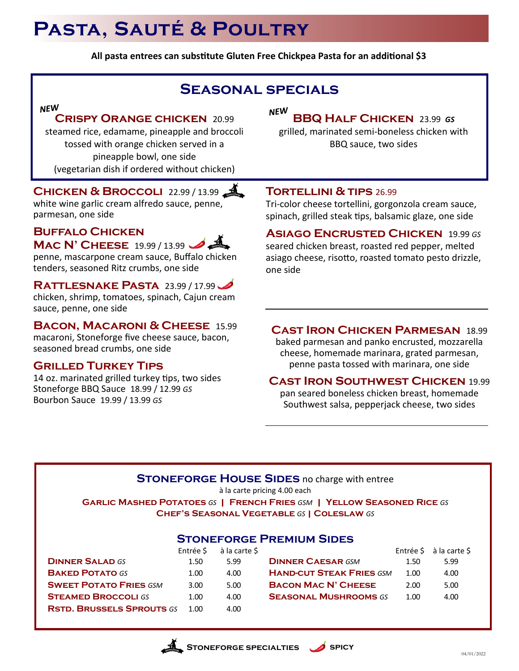# **Pasta, Sauté & Poultry**

**All pasta entrees can substitute Gluten Free Chickpea Pasta for an additional \$3**

# **Seasonal specials**

# **Crispy Orange chicken** 20.99

steamed rice, edamame, pineapple and broccoli tossed with orange chicken served in a pineapple bowl, one side (vegetarian dish if ordered without chicken)

## **CHICKEN & BROCCOLI** 22.99 / 13.99

white wine garlic cream alfredo sauce, penne, parmesan, one side

#### **Buffalo Chicken Mac N' Cheese** 19.99 / 13.99

penne, mascarpone cream sauce, Buffalo chicken tenders, seasoned Ritz crumbs, one side

### **Rattlesnake Pasta** 23.99 / 17.99

chicken, shrimp, tomatoes, spinach, Cajun cream sauce, penne, one side

## **Bacon, Macaroni & Cheese** 15.99

macaroni, Stoneforge five cheese sauce, bacon, seasoned bread crumbs, one side

### **Grilled Turkey Tips**

14 oz. marinated grilled turkey tips, two sides Stoneforge BBQ Sauce 18.99 / 12.99 *GS* Bourbon Sauce 19.99 / 13.99 *GS*

#### **NEW BBQ Half Chicken** 23.99 *GS*

grilled, marinated semi-boneless chicken with BBQ sauce, two sides

### **Tortellini & tips** 26.99

Tri-color cheese tortellini, gorgonzola cream sauce, spinach, grilled steak tips, balsamic glaze, one side

**Asiago Encrusted Chicken** 19.99 *GS* seared chicken breast, roasted red pepper, melted asiago cheese, risotto, roasted tomato pesto drizzle, one side

## **Cast Iron Chicken Parmesan** 18.99

baked parmesan and panko encrusted, mozzarella cheese, homemade marinara, grated parmesan, penne pasta tossed with marinara, one side

### **Cast Iron Southwest Chicken** 19.99

pan seared boneless chicken breast, homemade Southwest salsa, pepperjack cheese, two sides

### **STONEFORGE HOUSE SIDES** no charge with entree

à la carte pricing 4.00 each

**Garlic Mashed Potatoes** *GS* **| French Fries** *GSM* **| Yellow Seasoned Rice** *GS*  **Chef's Seasonal Vegetable** *GS* **| Coleslaw** *GS*

### **Stoneforge Premium Sides**

|                                  | Entrée \$ | à la carte \$ |                                 | Entrée \$ | à la cart |
|----------------------------------|-----------|---------------|---------------------------------|-----------|-----------|
| <b>DINNER SALAD GS</b>           | 1.50      | 5.99          | <b>DINNER CAESAR GSM</b>        | 1.50      | 5.99      |
| <b>BAKED POTATO GS</b>           | 1.00      | 4.00          | <b>HAND-CUT STEAK FRIES GSM</b> | 1.00      | 4.00      |
| <b>SWEET POTATO FRIES GSM</b>    | 3.00      | 5.00          | <b>BACON MAC N' CHEESE</b>      | 2.00      | 5.00      |
| <b>STEAMED BROCCOLI GS</b>       | 1.00      | 4.00          | <b>SEASONAL MUSHROOMS GS</b>    | 1.00      | 4.00      |
| <b>RSTD. BRUSSELS SPROUTS GS</b> | 1.00.     | 4.00          |                                 |           |           |
|                                  |           |               |                                 |           |           |

|      | Entrée \$ à la carte \$ |                                 |      | Entrée $\frac{1}{2}$ à la carte $\frac{1}{2}$ |
|------|-------------------------|---------------------------------|------|-----------------------------------------------|
| 1.50 | 599                     | <b>DINNER CAESAR GSM</b>        | 1.50 | 5.99                                          |
| 1.00 | 4.00                    | <b>HAND-CUT STEAK FRIES GSM</b> | 1.00 | 4.00                                          |
| 3.00 | 5.00                    | <b>BACON MAC N' CHEESE</b>      | 2.00 | 5.00                                          |
| 1.00 | 4.00                    | <b>SEASONAL MUSHROOMS GS</b>    | 1.00 | 4.00                                          |
|      |                         |                                 |      |                                               |